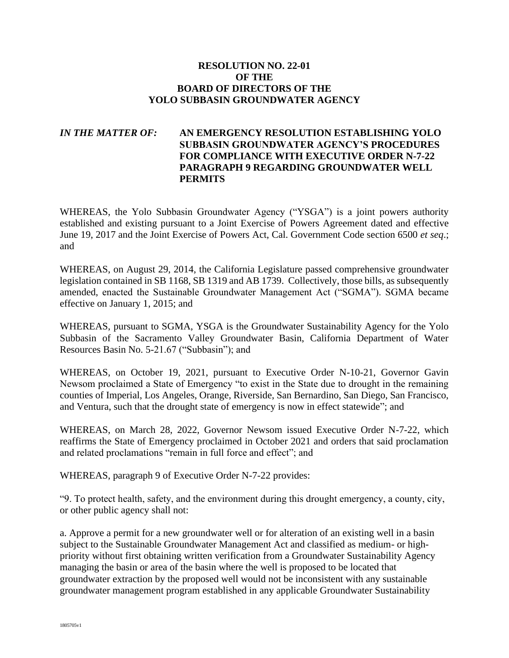## **RESOLUTION NO. 22-01 OF THE BOARD OF DIRECTORS OF THE YOLO SUBBASIN GROUNDWATER AGENCY**

## *IN THE MATTER OF:* **AN EMERGENCY RESOLUTION ESTABLISHING YOLO SUBBASIN GROUNDWATER AGENCY'S PROCEDURES FOR COMPLIANCE WITH EXECUTIVE ORDER N-7-22 PARAGRAPH 9 REGARDING GROUNDWATER WELL PERMITS**

WHEREAS, the Yolo Subbasin Groundwater Agency ("YSGA") is a joint powers authority established and existing pursuant to a Joint Exercise of Powers Agreement dated and effective June 19, 2017 and the Joint Exercise of Powers Act, Cal. Government Code section 6500 *et seq*.; and

WHEREAS, on August 29, 2014, the California Legislature passed comprehensive groundwater legislation contained in SB 1168, SB 1319 and AB 1739. Collectively, those bills, as subsequently amended, enacted the Sustainable Groundwater Management Act ("SGMA"). SGMA became effective on January 1, 2015; and

WHEREAS, pursuant to SGMA, YSGA is the Groundwater Sustainability Agency for the Yolo Subbasin of the Sacramento Valley Groundwater Basin, California Department of Water Resources Basin No. 5-21.67 ("Subbasin"); and

WHEREAS, on October 19, 2021, pursuant to Executive Order N-10-21, Governor Gavin Newsom proclaimed a State of Emergency "to exist in the State due to drought in the remaining counties of Imperial, Los Angeles, Orange, Riverside, San Bernardino, San Diego, San Francisco, and Ventura, such that the drought state of emergency is now in effect statewide"; and

WHEREAS, on March 28, 2022, Governor Newsom issued Executive Order N-7-22, which reaffirms the State of Emergency proclaimed in October 2021 and orders that said proclamation and related proclamations "remain in full force and effect"; and

WHEREAS, paragraph 9 of Executive Order N-7-22 provides:

"9. To protect health, safety, and the environment during this drought emergency, a county, city, or other public agency shall not:

a. Approve a permit for a new groundwater well or for alteration of an existing well in a basin subject to the Sustainable Groundwater Management Act and classified as medium- or highpriority without first obtaining written verification from a Groundwater Sustainability Agency managing the basin or area of the basin where the well is proposed to be located that groundwater extraction by the proposed well would not be inconsistent with any sustainable groundwater management program established in any applicable Groundwater Sustainability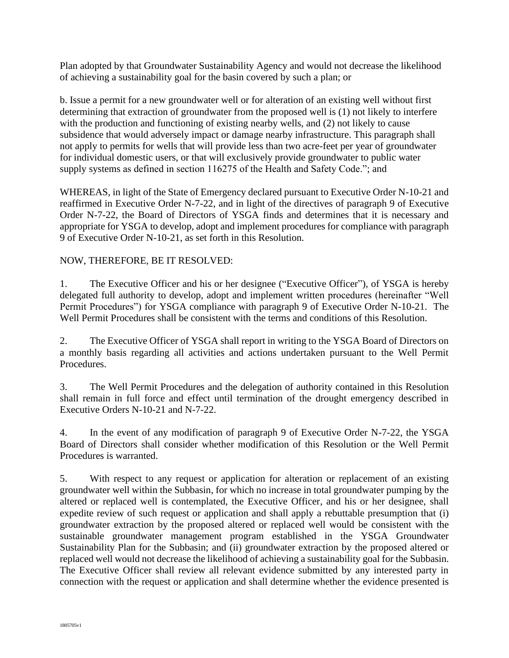Plan adopted by that Groundwater Sustainability Agency and would not decrease the likelihood of achieving a sustainability goal for the basin covered by such a plan; or

b. Issue a permit for a new groundwater well or for alteration of an existing well without first determining that extraction of groundwater from the proposed well is (1) not likely to interfere with the production and functioning of existing nearby wells, and (2) not likely to cause subsidence that would adversely impact or damage nearby infrastructure. This paragraph shall not apply to permits for wells that will provide less than two acre-feet per year of groundwater for individual domestic users, or that will exclusively provide groundwater to public water supply systems as defined in section 116275 of the Health and Safety Code."; and

WHEREAS, in light of the State of Emergency declared pursuant to Executive Order N-10-21 and reaffirmed in Executive Order N-7-22, and in light of the directives of paragraph 9 of Executive Order N-7-22, the Board of Directors of YSGA finds and determines that it is necessary and appropriate for YSGA to develop, adopt and implement procedures for compliance with paragraph 9 of Executive Order N-10-21, as set forth in this Resolution.

## NOW, THEREFORE, BE IT RESOLVED:

1. The Executive Officer and his or her designee ("Executive Officer"), of YSGA is hereby delegated full authority to develop, adopt and implement written procedures (hereinafter "Well Permit Procedures") for YSGA compliance with paragraph 9 of Executive Order N-10-21. The Well Permit Procedures shall be consistent with the terms and conditions of this Resolution.

2. The Executive Officer of YSGA shall report in writing to the YSGA Board of Directors on a monthly basis regarding all activities and actions undertaken pursuant to the Well Permit Procedures.

3. The Well Permit Procedures and the delegation of authority contained in this Resolution shall remain in full force and effect until termination of the drought emergency described in Executive Orders N-10-21 and N-7-22.

4. In the event of any modification of paragraph 9 of Executive Order N-7-22, the YSGA Board of Directors shall consider whether modification of this Resolution or the Well Permit Procedures is warranted.

5. With respect to any request or application for alteration or replacement of an existing groundwater well within the Subbasin, for which no increase in total groundwater pumping by the altered or replaced well is contemplated, the Executive Officer, and his or her designee, shall expedite review of such request or application and shall apply a rebuttable presumption that (i) groundwater extraction by the proposed altered or replaced well would be consistent with the sustainable groundwater management program established in the YSGA Groundwater Sustainability Plan for the Subbasin; and (ii) groundwater extraction by the proposed altered or replaced well would not decrease the likelihood of achieving a sustainability goal for the Subbasin. The Executive Officer shall review all relevant evidence submitted by any interested party in connection with the request or application and shall determine whether the evidence presented is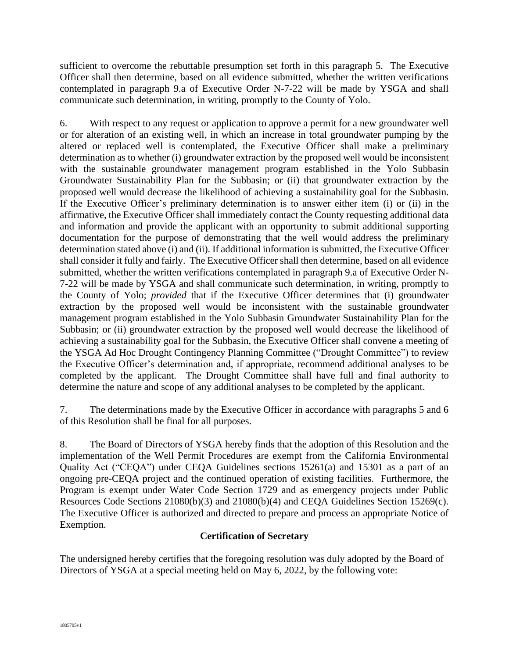sufficient to overcome the rebuttable presumption set forth in this paragraph 5. The Executive Officer shall then determine, based on all evidence submitted, whether the written verifications contemplated in paragraph 9.a of Executive Order N-7-22 will be made by YSGA and shall communicate such determination, in writing, promptly to the County of Yolo.

6. With respect to any request or application to approve a permit for a new groundwater well or for alteration of an existing well, in which an increase in total groundwater pumping by the altered or replaced well is contemplated, the Executive Officer shall make a preliminary determination as to whether (i) groundwater extraction by the proposed well would be inconsistent with the sustainable groundwater management program established in the Yolo Subbasin Groundwater Sustainability Plan for the Subbasin; or (ii) that groundwater extraction by the proposed well would decrease the likelihood of achieving a sustainability goal for the Subbasin. If the Executive Officer's preliminary determination is to answer either item (i) or (ii) in the affirmative, the Executive Officer shall immediately contact the County requesting additional data and information and provide the applicant with an opportunity to submit additional supporting documentation for the purpose of demonstrating that the well would address the preliminary determination stated above (i) and (ii). If additional information is submitted, the Executive Officer shall consider it fully and fairly. The Executive Officer shall then determine, based on all evidence submitted, whether the written verifications contemplated in paragraph 9.a of Executive Order N-7-22 will be made by YSGA and shall communicate such determination, in writing, promptly to the County of Yolo; *provided* that if the Executive Officer determines that (i) groundwater extraction by the proposed well would be inconsistent with the sustainable groundwater management program established in the Yolo Subbasin Groundwater Sustainability Plan for the Subbasin; or (ii) groundwater extraction by the proposed well would decrease the likelihood of achieving a sustainability goal for the Subbasin, the Executive Officer shall convene a meeting of the YSGA Ad Hoc Drought Contingency Planning Committee ("Drought Committee") to review the Executive Officer's determination and, if appropriate, recommend additional analyses to be completed by the applicant. The Drought Committee shall have full and final authority to determine the nature and scope of any additional analyses to be completed by the applicant.

7. The determinations made by the Executive Officer in accordance with paragraphs 5 and 6 of this Resolution shall be final for all purposes.

8. The Board of Directors of YSGA hereby finds that the adoption of this Resolution and the implementation of the Well Permit Procedures are exempt from the California Environmental Quality Act ("CEQA") under CEQA Guidelines sections 15261(a) and 15301 as a part of an ongoing pre-CEQA project and the continued operation of existing facilities. Furthermore, the Program is exempt under Water Code Section 1729 and as emergency projects under Public Resources Code Sections 21080(b)(3) and 21080(b)(4) and CEQA Guidelines Section 15269(c). The Executive Officer is authorized and directed to prepare and process an appropriate Notice of Exemption.

## **Certification of Secretary**

The undersigned hereby certifies that the foregoing resolution was duly adopted by the Board of Directors of YSGA at a special meeting held on May 6, 2022, by the following vote: